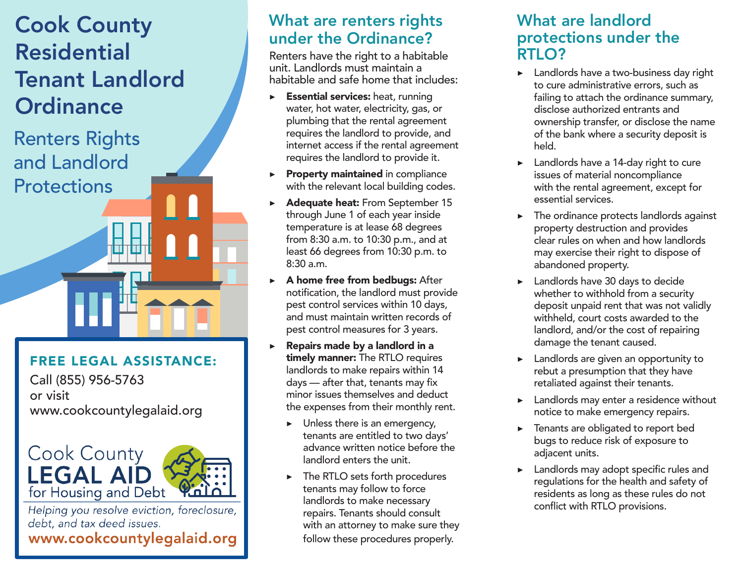# Cook County Residential Tenant Landlord **Ordinance**

Renters Rights and Landlord **Protections** 

#### FREE LEGAL ASSISTANCE:

Call (855) 956-5763 or visit www.cookcountylegalaid.org



Helping you resolve eviction, foreclosure, debt, and tax deed issues. www.cookcountylegalaid.org

### What are renters rights under the Ordinance?

Renters have the right to a habitable unit. Landlords must maintain a habitable and safe home that includes:

- $\triangleright$  Essential services: heat, running water, hot water, electricity, gas, or plumbing that the rental agreement requires the landlord to provide, and internet access if the rental agreement requires the landlord to provide it.
- ▶ Property maintained in compliance with the relevant local building codes.
- ▶ Adequate heat: From September 15 through June 1 of each year inside temperature is at lease 68 degrees from 8:30 a.m. to 10:30 p.m., and at least 66 degrees from 10:30 p.m. to 8:30 a.m.
- $\triangleright$  A home free from bedbugs: After notification, the landlord must provide pest control services within 10 days, and must maintain written records of pest control measures for 3 years.
- $\triangleright$  Repairs made by a landlord in a timely manner: The RTLO requires landlords to make repairs within 14 days — after that, tenants may fix minor issues themselves and deduct the expenses from their monthly rent.
	- $\blacktriangleright$  Unless there is an emergency, tenants are entitled to two days' advance written notice before the landlord enters the unit.
	- ▶ The RTLO sets forth procedures tenants may follow to force landlords to make necessary repairs. Tenants should consult with an attorney to make sure they follow these procedures properly.

#### What are landlord protections under the RTLO?

- ▶ Landlords have a two-business day right to cure administrative errors, such as failing to attach the ordinance summary, disclose authorized entrants and ownership transfer, or disclose the name of the bank where a security deposit is held.
- ▶ Landlords have a 14-day right to cure issues of material noncompliance with the rental agreement, except for essential services.
- The ordinance protects landlords against property destruction and provides clear rules on when and how landlords may exercise their right to dispose of abandoned property.
- ▶ Landlords have 30 days to decide whether to withhold from a security deposit unpaid rent that was not validly withheld, court costs awarded to the landlord, and/or the cost of repairing damage the tenant caused.
- Landlords are given an opportunity to rebut a presumption that they have retaliated against their tenants.
- Landlords may enter a residence without notice to make emergency repairs.
- ▶ Tenants are obligated to report bed bugs to reduce risk of exposure to adjacent units.
- ▶ Landlords may adopt specific rules and regulations for the health and safety of residents as long as these rules do not conflict with RTLO provisions.